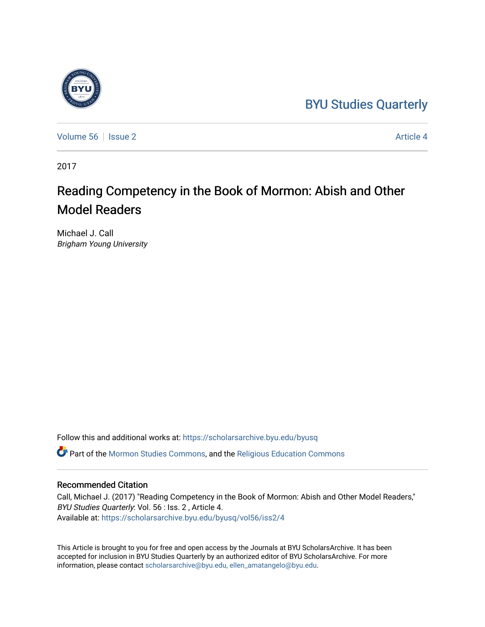# [BYU Studies Quarterly](https://scholarsarchive.byu.edu/byusq)



[Volume 56](https://scholarsarchive.byu.edu/byusq/vol56) Setsue 2 Article 4

2017

# Reading Competency in the Book of Mormon: Abish and Other Model Readers

Michael J. Call Brigham Young University

Follow this and additional works at: [https://scholarsarchive.byu.edu/byusq](https://scholarsarchive.byu.edu/byusq?utm_source=scholarsarchive.byu.edu%2Fbyusq%2Fvol56%2Fiss2%2F4&utm_medium=PDF&utm_campaign=PDFCoverPages) 

Part of the [Mormon Studies Commons](http://network.bepress.com/hgg/discipline/1360?utm_source=scholarsarchive.byu.edu%2Fbyusq%2Fvol56%2Fiss2%2F4&utm_medium=PDF&utm_campaign=PDFCoverPages), and the [Religious Education Commons](http://network.bepress.com/hgg/discipline/1414?utm_source=scholarsarchive.byu.edu%2Fbyusq%2Fvol56%2Fiss2%2F4&utm_medium=PDF&utm_campaign=PDFCoverPages) 

# Recommended Citation

Call, Michael J. (2017) "Reading Competency in the Book of Mormon: Abish and Other Model Readers," BYU Studies Quarterly: Vol. 56 : Iss. 2 , Article 4. Available at: [https://scholarsarchive.byu.edu/byusq/vol56/iss2/4](https://scholarsarchive.byu.edu/byusq/vol56/iss2/4?utm_source=scholarsarchive.byu.edu%2Fbyusq%2Fvol56%2Fiss2%2F4&utm_medium=PDF&utm_campaign=PDFCoverPages)

This Article is brought to you for free and open access by the Journals at BYU ScholarsArchive. It has been accepted for inclusion in BYU Studies Quarterly by an authorized editor of BYU ScholarsArchive. For more information, please contact [scholarsarchive@byu.edu, ellen\\_amatangelo@byu.edu.](mailto:scholarsarchive@byu.edu,%20ellen_amatangelo@byu.edu)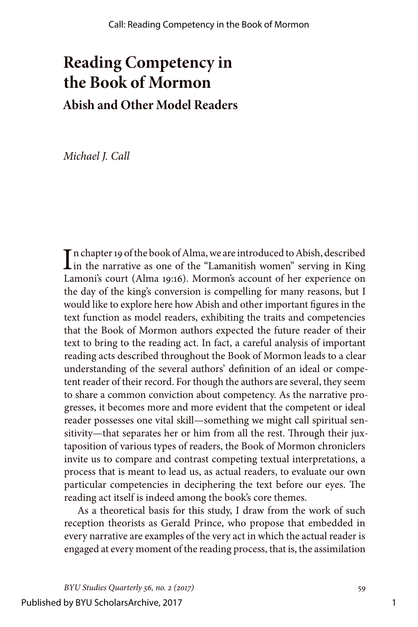# **Reading Competency in the Book of Mormon Abish and Other Model Readers**

*Michael J. Call*

In chapter 19 of the book of Alma, we are introduced to Abish, described<br>in the narrative as one of the "Lamanitish women" serving in King in the narrative as one of the "Lamanitish women" serving in King Lamoni's court (Alma 19:16). Mormon's account of her experience on the day of the king's conversion is compelling for many reasons, but I would like to explore here how Abish and other important figures in the text function as model readers, exhibiting the traits and competencies that the Book of Mormon authors expected the future reader of their text to bring to the reading act. In fact, a careful analysis of important reading acts described throughout the Book of Mormon leads to a clear understanding of the several authors' definition of an ideal or competent reader of their record. For though the authors are several, they seem to share a common conviction about competency. As the narrative progresses, it becomes more and more evident that the competent or ideal reader possesses one vital skill—something we might call spiritual sensitivity—that separates her or him from all the rest. Through their juxtaposition of various types of readers, the Book of Mormon chroniclers invite us to compare and contrast competing textual interpretations, a process that is meant to lead us, as actual readers, to evaluate our own particular competencies in deciphering the text before our eyes. The reading act itself is indeed among the book's core themes.

As a theoretical basis for this study, I draw from the work of such reception theorists as Gerald Prince, who propose that embedded in every narrative are examples of the very act in which the actual reader is engaged at every moment of the reading process, that is, the assimilation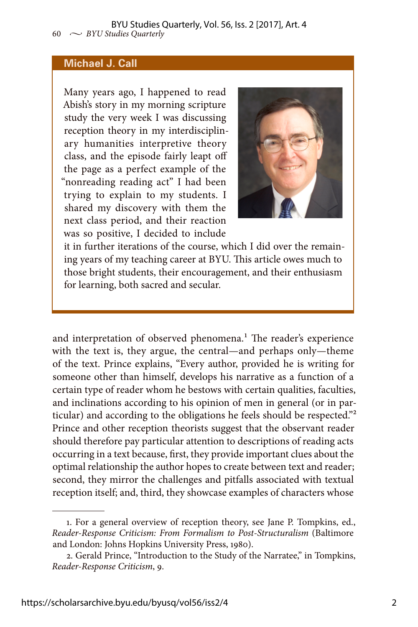#### **Michael J. Call**

Many years ago, I happened to read Abish's story in my morning scripture study the very week I was discussing reception theory in my interdisciplinary humanities interpretive theory class, and the episode fairly leapt off the page as a perfect example of the "nonreading reading act" I had been trying to explain to my students. I shared my discovery with them the next class period, and their reaction was so positive, I decided to include



it in further iterations of the course, which I did over the remaining years of my teaching career at BYU. This article owes much to those bright students, their encouragement, and their enthusiasm for learning, both sacred and secular.

and interpretation of observed phenomena.<sup>1</sup> The reader's experience with the text is, they argue, the central—and perhaps only—theme of the text. Prince explains, "Every author, provided he is writing for someone other than himself, develops his narrative as a function of a certain type of reader whom he bestows with certain qualities, faculties, and inclinations according to his opinion of men in general (or in particular) and according to the obligations he feels should be respected."2 Prince and other reception theorists suggest that the observant reader should therefore pay particular attention to descriptions of reading acts occurring in a text because, first, they provide important clues about the optimal relationship the author hopes to create between text and reader; second, they mirror the challenges and pitfalls associated with textual reception itself; and, third, they showcase examples of characters whose

<sup>1.</sup> For a general overview of reception theory, see Jane P. Tompkins, ed., *Reader-Response Criticism: From Formalism to Post-Structuralism* (Baltimore and London: Johns Hopkins University Press, 1980).

<sup>2.</sup> Gerald Prince, "Introduction to the Study of the Narratee," in Tompkins, *Reader-Response Criticism*, 9.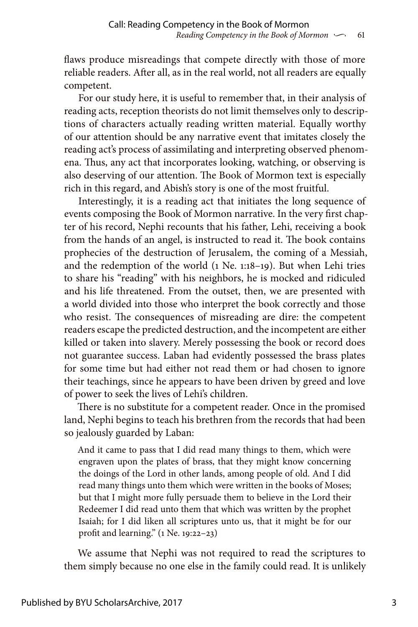flaws produce misreadings that compete directly with those of more reliable readers. After all, as in the real world, not all readers are equally competent.

For our study here, it is useful to remember that, in their analysis of reading acts, reception theorists do not limit themselves only to descriptions of characters actually reading written material. Equally worthy of our attention should be any narrative event that imitates closely the reading act's process of assimilating and interpreting observed phenomena. Thus, any act that incorporates looking, watching, or observing is also deserving of our attention. The Book of Mormon text is especially rich in this regard, and Abish's story is one of the most fruitful.

Interestingly, it is a reading act that initiates the long sequence of events composing the Book of Mormon narrative. In the very first chapter of his record, Nephi recounts that his father, Lehi, receiving a book from the hands of an angel, is instructed to read it. The book contains prophecies of the destruction of Jerusalem, the coming of a Messiah, and the redemption of the world (1 Ne. 1:18–19). But when Lehi tries to share his "reading" with his neighbors, he is mocked and ridiculed and his life threatened. From the outset, then, we are presented with a world divided into those who interpret the book correctly and those who resist. The consequences of misreading are dire: the competent readers escape the predicted destruction, and the incompetent are either killed or taken into slavery. Merely possessing the book or record does not guarantee success. Laban had evidently possessed the brass plates for some time but had either not read them or had chosen to ignore their teachings, since he appears to have been driven by greed and love of power to seek the lives of Lehi's children.

There is no substitute for a competent reader. Once in the promised land, Nephi begins to teach his brethren from the records that had been so jealously guarded by Laban:

And it came to pass that I did read many things to them, which were engraven upon the plates of brass, that they might know concerning the doings of the Lord in other lands, among people of old. And I did read many things unto them which were written in the books of Moses; but that I might more fully persuade them to believe in the Lord their Redeemer I did read unto them that which was written by the prophet Isaiah; for I did liken all scriptures unto us, that it might be for our profit and learning." (1 Ne. 19:22–23)

We assume that Nephi was not required to read the scriptures to them simply because no one else in the family could read. It is unlikely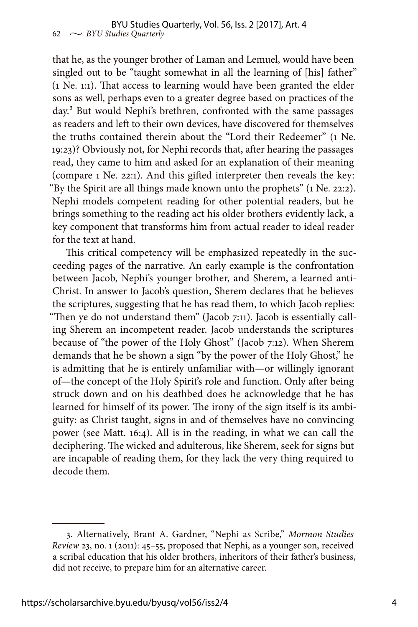that he, as the younger brother of Laman and Lemuel, would have been singled out to be "taught somewhat in all the learning of [his] father" (1 Ne. 1:1). That access to learning would have been granted the elder sons as well, perhaps even to a greater degree based on practices of the day.<sup>3</sup> But would Nephi's brethren, confronted with the same passages as readers and left to their own devices, have discovered for themselves the truths contained therein about the "Lord their Redeemer" (1 Ne. 19:23)? Obviously not, for Nephi records that, after hearing the passages read, they came to him and asked for an explanation of their meaning (compare 1 Ne. 22:1). And this gifted interpreter then reveals the key: "By the Spirit are all things made known unto the prophets" (1 Ne. 22:2). Nephi models competent reading for other potential readers, but he brings something to the reading act his older brothers evidently lack, a key component that transforms him from actual reader to ideal reader for the text at hand.

This critical competency will be emphasized repeatedly in the succeeding pages of the narrative. An early example is the confrontation between Jacob, Nephi's younger brother, and Sherem, a learned anti-Christ. In answer to Jacob's question, Sherem declares that he believes the scriptures, suggesting that he has read them, to which Jacob replies: "Then ye do not understand them" (Jacob 7:11). Jacob is essentially calling Sherem an incompetent reader. Jacob understands the scriptures because of "the power of the Holy Ghost" (Jacob 7:12). When Sherem demands that he be shown a sign "by the power of the Holy Ghost," he is admitting that he is entirely unfamiliar with—or willingly ignorant of—the concept of the Holy Spirit's role and function. Only after being struck down and on his deathbed does he acknowledge that he has learned for himself of its power. The irony of the sign itself is its ambiguity: as Christ taught, signs in and of themselves have no convincing power (see Matt. 16:4). All is in the reading, in what we can call the deciphering. The wicked and adulterous, like Sherem, seek for signs but are incapable of reading them, for they lack the very thing required to decode them.

<sup>3.</sup> Alternatively, Brant A. Gardner, "Nephi as Scribe," *Mormon Studies Review* 23, no. 1 (2011): 45–55, proposed that Nephi, as a younger son, received a scribal education that his older brothers, inheritors of their father's business, did not receive, to prepare him for an alternative career.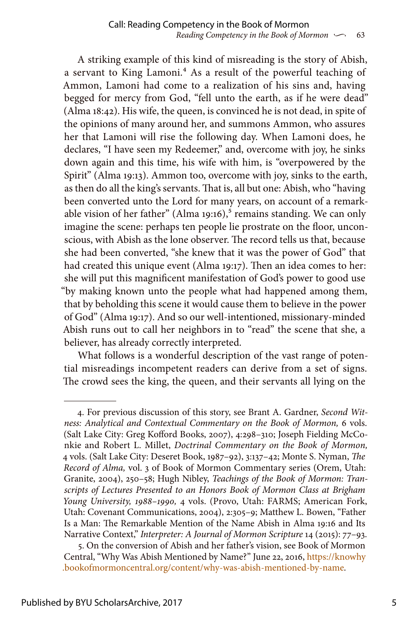A striking example of this kind of misreading is the story of Abish, a servant to King Lamoni.<sup>4</sup> As a result of the powerful teaching of Ammon, Lamoni had come to a realization of his sins and, having begged for mercy from God, "fell unto the earth, as if he were dead" (Alma 18:42). His wife, the queen, is convinced he is not dead, in spite of the opinions of many around her, and summons Ammon, who assures her that Lamoni will rise the following day. When Lamoni does, he declares, "I have seen my Redeemer," and, overcome with joy, he sinks down again and this time, his wife with him, is "overpowered by the Spirit" (Alma 19:13). Ammon too, overcome with joy, sinks to the earth, as then do all the king's servants. That is, all but one: Abish, who "having been converted unto the Lord for many years, on account of a remarkable vision of her father" (Alma 19:16),<sup>5</sup> remains standing. We can only imagine the scene: perhaps ten people lie prostrate on the floor, unconscious, with Abish as the lone observer. The record tells us that, because she had been converted, "she knew that it was the power of God" that had created this unique event (Alma 19:17). Then an idea comes to her: she will put this magnificent manifestation of God's power to good use "by making known unto the people what had happened among them, that by beholding this scene it would cause them to believe in the power of God" (Alma 19:17). And so our well-intentioned, missionary-minded Abish runs out to call her neighbors in to "read" the scene that she, a believer, has already correctly interpreted.

What follows is a wonderful description of the vast range of potential misreadings incompetent readers can derive from a set of signs. The crowd sees the king, the queen, and their servants all lying on the

<sup>4.</sup> For previous discussion of this story, see Brant A. Gardner, *Second Witness: Analytical and Contextual Commentary on the Book of Mormon,* 6 vols. (Salt Lake City: Greg Kofford Books, 2007), 4:298–310; Joseph Fielding McConkie and Robert L. Millet, *Doctrinal Commentary on the Book of Mormon,* 4 vols. (Salt Lake City: Deseret Book, 1987–92), 3:137–42; Monte S. Nyman, *The Record of Alma,* vol. 3 of Book of Mormon Commentary series (Orem, Utah: Granite, 2004), 250–58; Hugh Nibley, *Teachings of the Book of Mormon: Transcripts of Lectures Presented to an Honors Book of Mormon Class at Brigham Young University, 1988–1990,* 4 vols. (Provo, Utah: FARMS; American Fork, Utah: Covenant Communications, 2004), 2:305–9; Matthew L. Bowen, "Father Is a Man: The Remarkable Mention of the Name Abish in Alma 19:16 and Its Narrative Context," *Interpreter: A Journal of Mormon Scripture* 14 (2015): 77–93.

<sup>5.</sup> On the conversion of Abish and her father's vision, see Book of Mormon Central, "Why Was Abish Mentioned by Name?" June 22, 2016, [https://knowhy](https://knowhy.bookofmormoncentral.org/content/why-was-abish-mentioned-by-name) [.bookofmormoncentral.org/content/why-was-abish-mentioned-by-name](https://knowhy.bookofmormoncentral.org/content/why-was-abish-mentioned-by-name).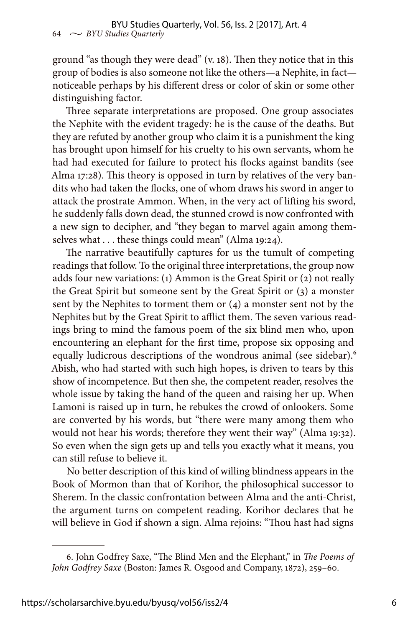ground "as though they were dead" (v. 18). Then they notice that in this group of bodies is also someone not like the others—a Nephite, in fact noticeable perhaps by his different dress or color of skin or some other distinguishing factor.

Three separate interpretations are proposed. One group associates the Nephite with the evident tragedy: he is the cause of the deaths. But they are refuted by another group who claim it is a punishment the king has brought upon himself for his cruelty to his own servants, whom he had had executed for failure to protect his flocks against bandits (see Alma 17:28). This theory is opposed in turn by relatives of the very bandits who had taken the flocks, one of whom draws his sword in anger to attack the prostrate Ammon. When, in the very act of lifting his sword, he suddenly falls down dead, the stunned crowd is now confronted with a new sign to decipher, and "they began to marvel again among themselves what . . . these things could mean" (Alma 19:24).

The narrative beautifully captures for us the tumult of competing readings that follow. To the original three interpretations, the group now adds four new variations: (1) Ammon is the Great Spirit or (2) not really the Great Spirit but someone sent by the Great Spirit or (3) a monster sent by the Nephites to torment them or (4) a monster sent not by the Nephites but by the Great Spirit to afflict them. The seven various readings bring to mind the famous poem of the six blind men who, upon encountering an elephant for the first time, propose six opposing and equally ludicrous descriptions of the wondrous animal (see sidebar).<sup>6</sup> Abish, who had started with such high hopes, is driven to tears by this show of incompetence. But then she, the competent reader, resolves the whole issue by taking the hand of the queen and raising her up. When Lamoni is raised up in turn, he rebukes the crowd of onlookers. Some are converted by his words, but "there were many among them who would not hear his words; therefore they went their way" (Alma 19:32). So even when the sign gets up and tells you exactly what it means, you can still refuse to believe it.

No better description of this kind of willing blindness appears in the Book of Mormon than that of Korihor, the philosophical successor to Sherem. In the classic confrontation between Alma and the anti-Christ, the argument turns on competent reading. Korihor declares that he will believe in God if shown a sign. Alma rejoins: "Thou hast had signs

<sup>6.</sup> John Godfrey Saxe, "The Blind Men and the Elephant," in *The Poems of John Godfrey Saxe* (Boston: James R. Osgood and Company, 1872), 259–60.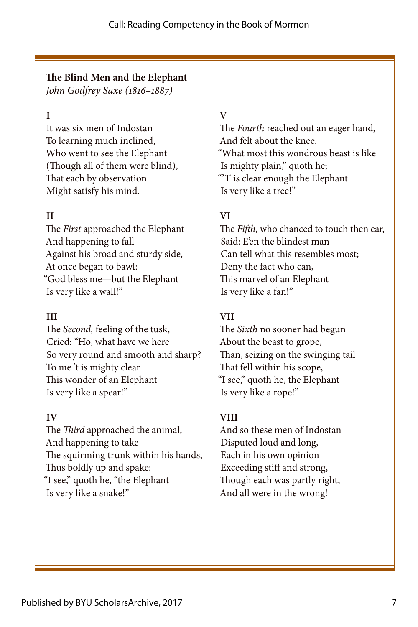# **The Blind Men and the Elephant**

*John Godfrey Saxe (1816–1887)*

## **I**

It was six men of Indostan To learning much inclined, Who went to see the Elephant (Though all of them were blind), That each by observation Might satisfy his mind.

# **II**

The *First* approached the Elephant And happening to fall Against his broad and sturdy side, At once began to bawl: "God bless me—but the Elephant Is very like a wall!"

### **III**

The *Second,* feeling of the tusk, Cried: "Ho, what have we here So very round and smooth and sharp? To me 't is mighty clear This wonder of an Elephant Is very like a spear!"

#### **IV**

The *Third* approached the animal, And happening to take The squirming trunk within his hands, Thus boldly up and spake: "I see," quoth he, "the Elephant Is very like a snake!"

### **V**

The *Fourth* reached out an eager hand, And felt about the knee. "What most this wondrous beast is like Is mighty plain," quoth he; "'T is clear enough the Elephant Is very like a tree!"

## **VI**

The *Fifth*, who chanced to touch then ear, Said: E'en the blindest man Can tell what this resembles most; Deny the fact who can, This marvel of an Elephant Is very like a fan!"

#### **VII**

The *Sixth* no sooner had begun About the beast to grope, Than, seizing on the swinging tail That fell within his scope, "I see," quoth he, the Elephant Is very like a rope!"

#### **VIII**

And so these men of Indostan Disputed loud and long, Each in his own opinion Exceeding stiff and strong, Though each was partly right, And all were in the wrong!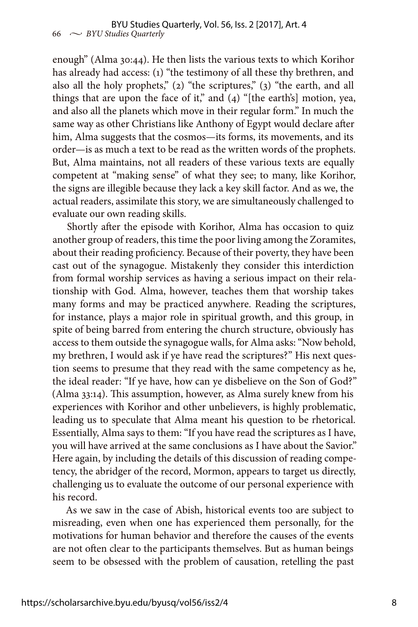enough" (Alma 30:44). He then lists the various texts to which Korihor has already had access: (1) "the testimony of all these thy brethren, and also all the holy prophets," (2) "the scriptures," (3) "the earth, and all things that are upon the face of it," and  $(4)$  "[the earth's] motion, yea, and also all the planets which move in their regular form." In much the same way as other Christians like Anthony of Egypt would declare after him, Alma suggests that the cosmos—its forms, its movements, and its order—is as much a text to be read as the written words of the prophets. But, Alma maintains, not all readers of these various texts are equally competent at "making sense" of what they see; to many, like Korihor, the signs are illegible because they lack a key skill factor. And as we, the actual readers, assimilate this story, we are simultaneously challenged to evaluate our own reading skills.

Shortly after the episode with Korihor, Alma has occasion to quiz another group of readers, this time the poor living among the Zoramites, about their reading proficiency. Because of their poverty, they have been cast out of the synagogue. Mistakenly they consider this interdiction from formal worship services as having a serious impact on their relationship with God. Alma, however, teaches them that worship takes many forms and may be practiced anywhere. Reading the scriptures, for instance, plays a major role in spiritual growth, and this group, in spite of being barred from entering the church structure, obviously has access to them outside the synagogue walls, for Alma asks: "Now behold, my brethren, I would ask if ye have read the scriptures?" His next question seems to presume that they read with the same competency as he, the ideal reader: "If ye have, how can ye disbelieve on the Son of God?" (Alma 33:14). This assumption, however, as Alma surely knew from his experiences with Korihor and other unbelievers, is highly problematic, leading us to speculate that Alma meant his question to be rhetorical. Essentially, Alma says to them: "If you have read the scriptures as I have, you will have arrived at the same conclusions as I have about the Savior." Here again, by including the details of this discussion of reading competency, the abridger of the record, Mormon, appears to target us directly, challenging us to evaluate the outcome of our personal experience with his record.

As we saw in the case of Abish, historical events too are subject to misreading, even when one has experienced them personally, for the motivations for human behavior and therefore the causes of the events are not often clear to the participants themselves. But as human beings seem to be obsessed with the problem of causation, retelling the past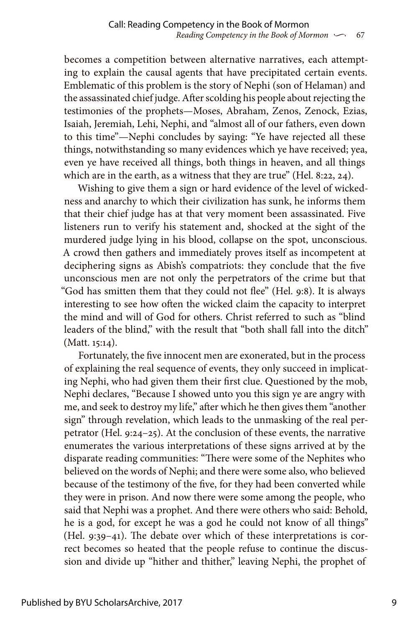becomes a competition between alternative narratives, each attempting to explain the causal agents that have precipitated certain events. Emblematic of this problem is the story of Nephi (son of Helaman) and the assassinated chief judge. After scolding his people about rejecting the testimonies of the prophets—Moses, Abraham, Zenos, Zenock, Ezias, Isaiah, Jeremiah, Lehi, Nephi, and "almost all of our fathers, even down to this time"—Nephi concludes by saying: "Ye have rejected all these things, notwithstanding so many evidences which ye have received; yea, even ye have received all things, both things in heaven, and all things which are in the earth, as a witness that they are true" (Hel. 8:22, 24).

Wishing to give them a sign or hard evidence of the level of wickedness and anarchy to which their civilization has sunk, he informs them that their chief judge has at that very moment been assassinated. Five listeners run to verify his statement and, shocked at the sight of the murdered judge lying in his blood, collapse on the spot, unconscious. A crowd then gathers and immediately proves itself as incompetent at deciphering signs as Abish's compatriots: they conclude that the five unconscious men are not only the perpetrators of the crime but that "God has smitten them that they could not flee" (Hel. 9:8). It is always interesting to see how often the wicked claim the capacity to interpret the mind and will of God for others. Christ referred to such as "blind leaders of the blind," with the result that "both shall fall into the ditch" (Matt. 15:14).

Fortunately, the five innocent men are exonerated, but in the process of explaining the real sequence of events, they only succeed in implicating Nephi, who had given them their first clue. Questioned by the mob, Nephi declares, "Because I showed unto you this sign ye are angry with me, and seek to destroy my life," after which he then gives them "another sign" through revelation, which leads to the unmasking of the real perpetrator (Hel. 9:24–25). At the conclusion of these events, the narrative enumerates the various interpretations of these signs arrived at by the disparate reading communities: "There were some of the Nephites who believed on the words of Nephi; and there were some also, who believed because of the testimony of the five, for they had been converted while they were in prison. And now there were some among the people, who said that Nephi was a prophet. And there were others who said: Behold, he is a god, for except he was a god he could not know of all things" (Hel. 9:39–41). The debate over which of these interpretations is correct becomes so heated that the people refuse to continue the discussion and divide up "hither and thither," leaving Nephi, the prophet of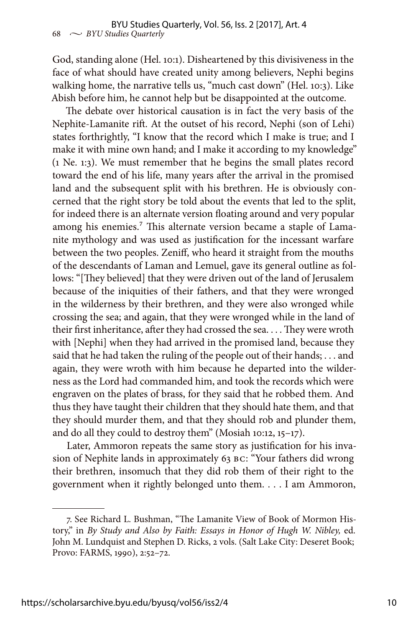God, standing alone (Hel. 10:1). Disheartened by this divisiveness in the face of what should have created unity among believers, Nephi begins walking home, the narrative tells us, "much cast down" (Hel. 10:3). Like Abish before him, he cannot help but be disappointed at the outcome.

The debate over historical causation is in fact the very basis of the Nephite-Lamanite rift. At the outset of his record, Nephi (son of Lehi) states forthrightly, "I know that the record which I make is true; and I make it with mine own hand; and I make it according to my knowledge" (1 Ne. 1:3). We must remember that he begins the small plates record toward the end of his life, many years after the arrival in the promised land and the subsequent split with his brethren. He is obviously concerned that the right story be told about the events that led to the split, for indeed there is an alternate version floating around and very popular among his enemies.<sup>7</sup> This alternate version became a staple of Lamanite mythology and was used as justification for the incessant warfare between the two peoples. Zeniff, who heard it straight from the mouths of the descendants of Laman and Lemuel, gave its general outline as follows: "[They believed] that they were driven out of the land of Jerusalem because of the iniquities of their fathers, and that they were wronged in the wilderness by their brethren, and they were also wronged while crossing the sea; and again, that they were wronged while in the land of their first inheritance, after they had crossed the sea. . . . They were wroth with [Nephi] when they had arrived in the promised land, because they said that he had taken the ruling of the people out of their hands; . . . and again, they were wroth with him because he departed into the wilderness as the Lord had commanded him, and took the records which were engraven on the plates of brass, for they said that he robbed them. And thus they have taught their children that they should hate them, and that they should murder them, and that they should rob and plunder them, and do all they could to destroy them" (Mosiah 10:12, 15–17).

Later, Ammoron repeats the same story as justification for his invasion of Nephite lands in approximately 63 BC: "Your fathers did wrong their brethren, insomuch that they did rob them of their right to the government when it rightly belonged unto them. . . . I am Ammoron,

<sup>7.</sup> See Richard L. Bushman, "The Lamanite View of Book of Mormon History," in *By Study and Also by Faith: Essays in Honor of Hugh W. Nibley,* ed. John M. Lundquist and Stephen D. Ricks, 2 vols. (Salt Lake City: Deseret Book; Provo: FARMS, 1990), 2:52–72.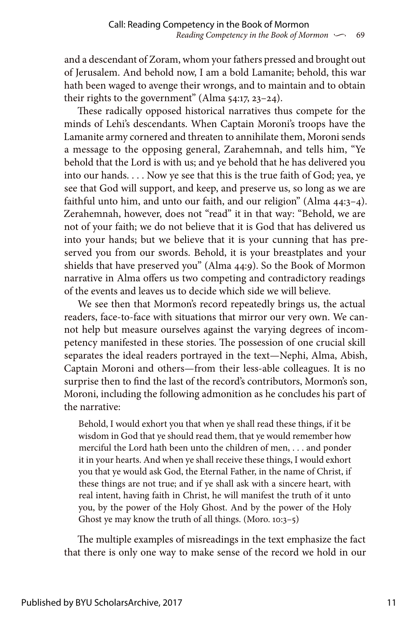and a descendant of Zoram, whom your fathers pressed and brought out of Jerusalem. And behold now, I am a bold Lamanite; behold, this war hath been waged to avenge their wrongs, and to maintain and to obtain their rights to the government" (Alma 54:17, 23-24).

These radically opposed historical narratives thus compete for the minds of Lehi's descendants. When Captain Moroni's troops have the Lamanite army cornered and threaten to annihilate them, Moroni sends a message to the opposing general, Zarahemnah, and tells him, "Ye behold that the Lord is with us; and ye behold that he has delivered you into our hands. . . . Now ye see that this is the true faith of God; yea, ye see that God will support, and keep, and preserve us, so long as we are faithful unto him, and unto our faith, and our religion" (Alma 44:3–4). Zerahemnah, however, does not "read" it in that way: "Behold, we are not of your faith; we do not believe that it is God that has delivered us into your hands; but we believe that it is your cunning that has preserved you from our swords. Behold, it is your breastplates and your shields that have preserved you" (Alma 44:9). So the Book of Mormon narrative in Alma offers us two competing and contradictory readings of the events and leaves us to decide which side we will believe.

We see then that Mormon's record repeatedly brings us, the actual readers, face-to-face with situations that mirror our very own. We cannot help but measure ourselves against the varying degrees of incompetency manifested in these stories. The possession of one crucial skill separates the ideal readers portrayed in the text—Nephi, Alma, Abish, Captain Moroni and others—from their less-able colleagues. It is no surprise then to find the last of the record's contributors, Mormon's son, Moroni, including the following admonition as he concludes his part of the narrative:

Behold, I would exhort you that when ye shall read these things, if it be wisdom in God that ye should read them, that ye would remember how merciful the Lord hath been unto the children of men, . . . and ponder it in your hearts. And when ye shall receive these things, I would exhort you that ye would ask God, the Eternal Father, in the name of Christ, if these things are not true; and if ye shall ask with a sincere heart, with real intent, having faith in Christ, he will manifest the truth of it unto you, by the power of the Holy Ghost. And by the power of the Holy Ghost ye may know the truth of all things. (Moro. 10:3–5)

The multiple examples of misreadings in the text emphasize the fact that there is only one way to make sense of the record we hold in our